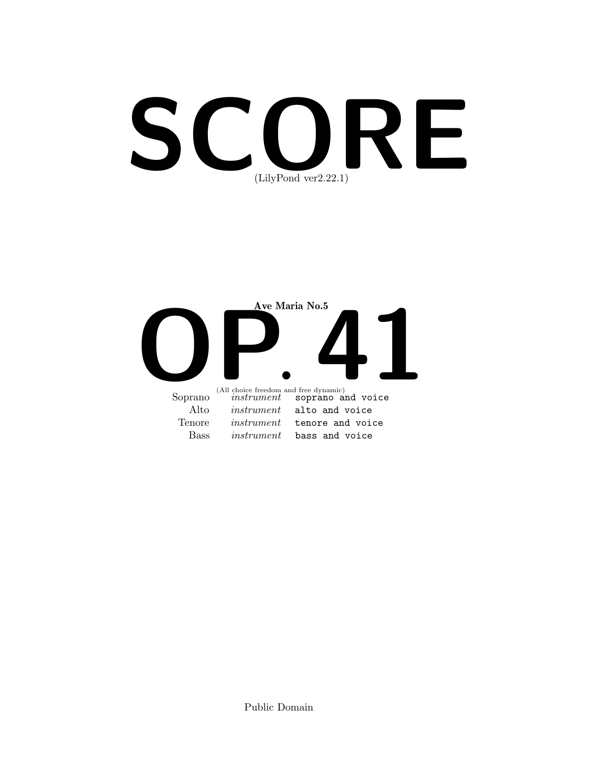# SCORE (LilyPond ver2.22.1)

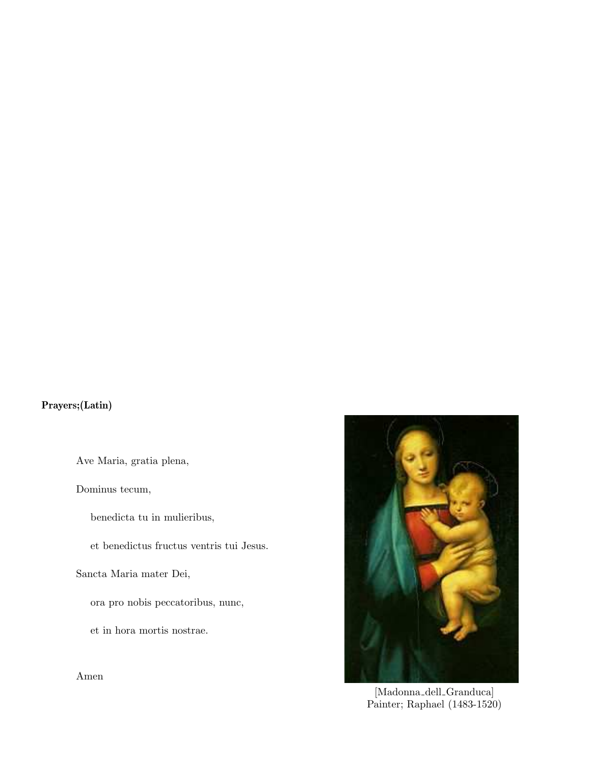## Prayers;(Latin)

Ave Maria, gratia plena,

Dominus tecum,

benedicta tu in mulieribus,

et benedictus fructus ventris tui Jesus.

Sancta Maria mater Dei,

ora pro nobis peccatoribus, nunc,

et in hora mortis nostrae.

Amen



[Madonna dell Granduca] Painter; Raphael (1483-1520)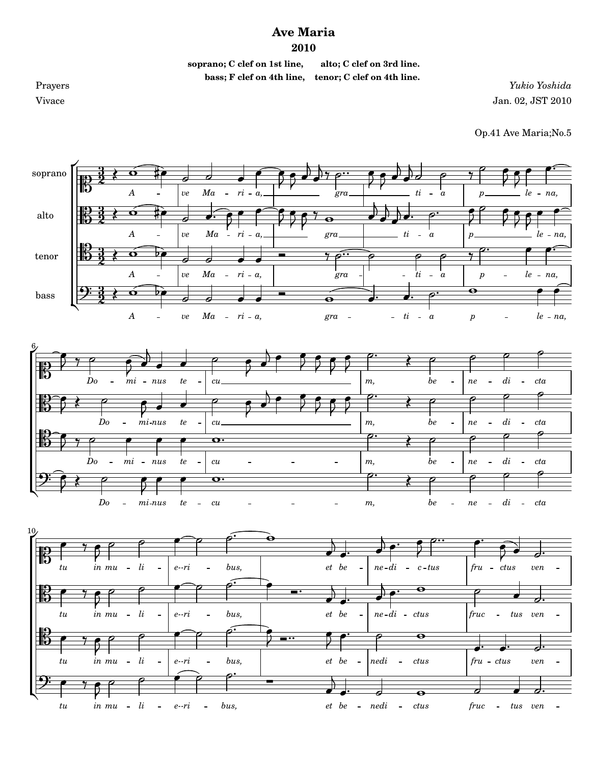## **Ave Maria**

## **2010**

**soprano; C clef on 1st line, alto; C clef on 3rd line.**

 **bass; F clef on 4th line, tenor; C clef on 4th line.**

Prayers *Yukio Yoshida* Vivace Jan. 02, JST 2010

Op.41 Ave Maria;No.5

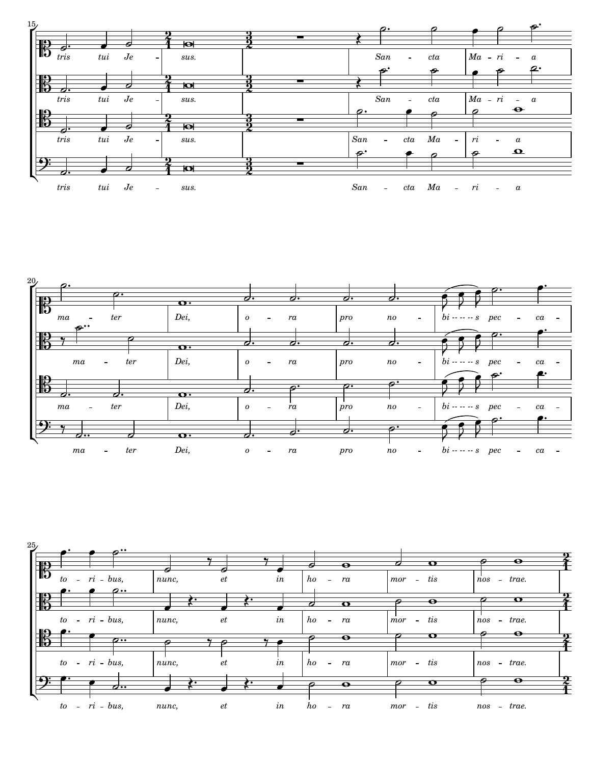